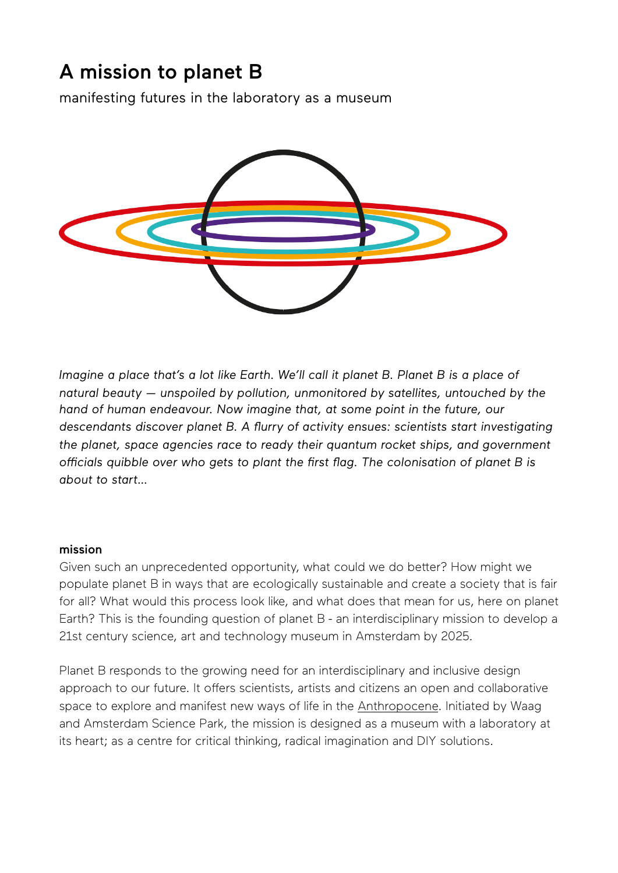# A mission to planet B

manifesting futures in the laboratory as a museum



*Imagine a place that's a lot like Earth. We'll call it planet B. Planet B is a place of natural beauty — unspoiled by pollution, unmonitored by satellites, untouched by the hand of human endeavour. Now imagine that, at some point in the future, our descendants discover planet B. A flurry of activity ensues: scientists start investigating the planet, space agencies race to ready their quantum rocket ships, and government officials quibble over who gets to plant the first flag. The colonisation of planet B is about to start…* 

## mission

Given such an unprecedented opportunity, what could we do beter? How might we populate planet B in ways that are ecologically sustainable and create a society that is fair for all? What would this process look like, and what does that mean for us, here on planet Earth? This is the founding question of planet B - an interdisciplinary mission to develop a 21st century science, art and technology museum in Amsterdam by 2025.

Planet B responds to the growing need for an interdisciplinary and inclusive design approach to our future. It offers scientists, artists and citizens an open and collaborative space to explore and manifest new ways of life in the [Anthropocene](https://en.wikipedia.org/wiki/Anthropocene). Initiated by Waag and Amsterdam Science Park, the mission is designed as a museum with a laboratory at its heart; as a centre for critical thinking, radical imagination and DIY solutions.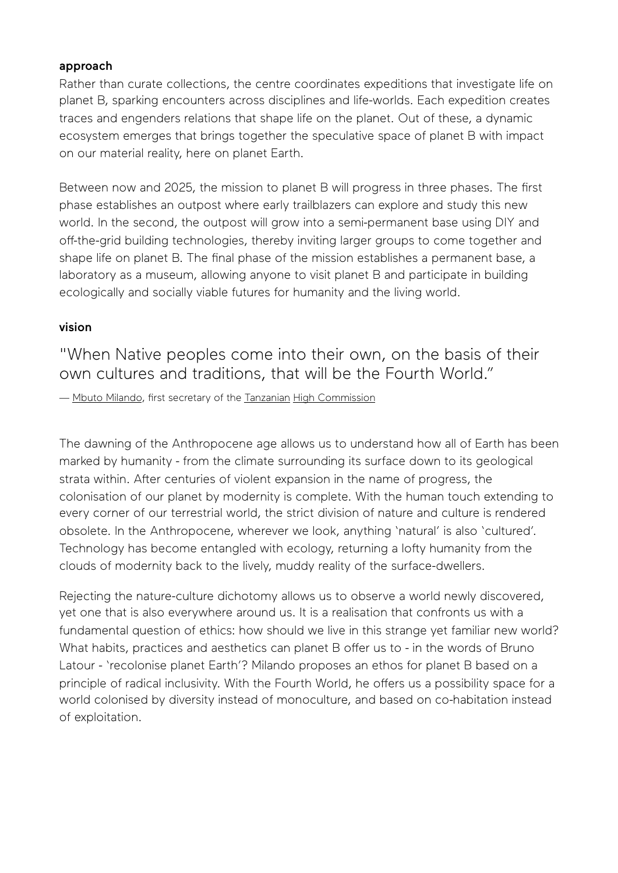## approach

Rather than curate collections, the centre coordinates expeditions that investigate life on planet B, sparking encounters across disciplines and life-worlds. Each expedition creates traces and engenders relations that shape life on the planet. Out of these, a dynamic ecosystem emerges that brings together the speculative space of planet B with impact on our material reality, here on planet Earth.

Between now and 2025, the mission to planet B will progress in three phases. The first phase establishes an outpost where early trailblazers can explore and study this new world. In the second, the outpost will grow into a semi-permanent base using DIY and off-the-grid building technologies, thereby inviting larger groups to come together and shape life on planet B. The final phase of the mission establishes a permanent base, a laboratory as a museum, allowing anyone to visit planet B and participate in building ecologically and socially viable futures for humanity and the living world.

## vision

"When Native peoples come into their own, on the basis of their own cultures and traditions, that will be the Fourth World."

— [Mbuto Milando,](https://en.wikipedia.org/w/index.php?title=Mbuto_Milando&action=edit&redlink=1) first secretary of the [Tanzanian](https://en.wikipedia.org/wiki/Tanzania) [High Commission](https://en.wikipedia.org/wiki/High_Commissioner_(Commonwealth))

The dawning of the Anthropocene age allows us to understand how all of Earth has been marked by humanity - from the climate surrounding its surface down to its geological strata within. After centuries of violent expansion in the name of progress, the colonisation of our planet by modernity is complete. With the human touch extending to every corner of our terrestrial world, the strict division of nature and culture is rendered obsolete. In the Anthropocene, wherever we look, anything 'natural' is also 'cultured'. Technology has become entangled with ecology, returning a lofty humanity from the clouds of modernity back to the lively, muddy reality of the surface-dwellers.

Rejecting the nature-culture dichotomy allows us to observe a world newly discovered, yet one that is also everywhere around us. It is a realisation that confronts us with a fundamental question of ethics: how should we live in this strange yet familiar new world? What habits, practices and aesthetics can planet B offer us to - in the words of Bruno Latour - 'recolonise planet Earth'? Milando proposes an ethos for planet B based on a principle of radical inclusivity. With the Fourth World, he offers us a possibility space for a world colonised by diversity instead of monoculture, and based on co-habitation instead of exploitation.